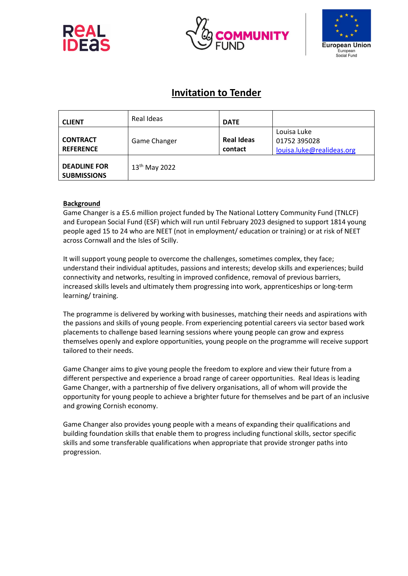





# **Invitation to Tender**

| <b>CLIENT</b>                             | Real Ideas          | <b>DATE</b>                  |                                                          |
|-------------------------------------------|---------------------|------------------------------|----------------------------------------------------------|
| <b>CONTRACT</b><br><b>REFERENCE</b>       | <b>Game Changer</b> | <b>Real Ideas</b><br>contact | Louisa Luke<br>01752 395028<br>louisa.luke@realideas.org |
| <b>DEADLINE FOR</b><br><b>SUBMISSIONS</b> | $13^{th}$ May 2022  |                              |                                                          |

# **Background**

Game Changer is a £5.6 million project funded by The National Lottery Community Fund (TNLCF) and European Social Fund (ESF) which will run until February 2023 designed to support 1814 young people aged 15 to 24 who are NEET (not in employment/ education or training) or at risk of NEET across Cornwall and the Isles of Scilly.

It will support young people to overcome the challenges, sometimes complex, they face; understand their individual aptitudes, passions and interests; develop skills and experiences; build connectivity and networks, resulting in improved confidence, removal of previous barriers, increased skills levels and ultimately them progressing into work, apprenticeships or long-term learning/ training.

The programme is delivered by working with businesses, matching their needs and aspirations with the passions and skills of young people. From experiencing potential careers via sector based work placements to challenge based learning sessions where young people can grow and express themselves openly and explore opportunities, young people on the programme will receive support tailored to their needs.

Game Changer aims to give young people the freedom to explore and view their future from a different perspective and experience a broad range of career opportunities. Real Ideas is leading Game Changer, with a partnership of five delivery organisations, all of whom will provide the opportunity for young people to achieve a brighter future for themselves and be part of an inclusive and growing Cornish economy.

Game Changer also provides young people with a means of expanding their qualifications and building foundation skills that enable them to progress including functional skills, sector specific skills and some transferable qualifications when appropriate that provide stronger paths into progression.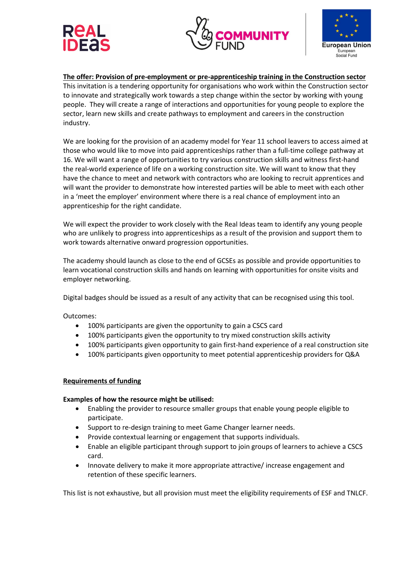





**The offer: Provision of pre-employment or pre-apprenticeship training in the Construction sector** This invitation is a tendering opportunity for organisations who work within the Construction sector to innovate and strategically work towards a step change within the sector by working with young people. They will create a range of interactions and opportunities for young people to explore the sector, learn new skills and create pathways to employment and careers in the construction industry.

We are looking for the provision of an academy model for Year 11 school leavers to access aimed at those who would like to move into paid apprenticeships rather than a full-time college pathway at 16. We will want a range of opportunities to try various construction skills and witness first-hand the real-world experience of life on a working construction site. We will want to know that they have the chance to meet and network with contractors who are looking to recruit apprentices and will want the provider to demonstrate how interested parties will be able to meet with each other in a 'meet the employer' environment where there is a real chance of employment into an apprenticeship for the right candidate.

We will expect the provider to work closely with the Real Ideas team to identify any young people who are unlikely to progress into apprenticeships as a result of the provision and support them to work towards alternative onward progression opportunities.

The academy should launch as close to the end of GCSEs as possible and provide opportunities to learn vocational construction skills and hands on learning with opportunities for onsite visits and employer networking.

Digital badges should be issued as a result of any activity that can be recognised using this tool.

Outcomes:

- 100% participants are given the opportunity to gain a CSCS card
- 100% participants given the opportunity to try mixed construction skills activity
- 100% participants given opportunity to gain first-hand experience of a real construction site
- 100% participants given opportunity to meet potential apprenticeship providers for Q&A

#### **Requirements of funding**

#### **Examples of how the resource might be utilised:**

- Enabling the provider to resource smaller groups that enable young people eligible to participate.
- Support to re-design training to meet Game Changer learner needs.
- Provide contextual learning or engagement that supports individuals.
- Enable an eligible participant through support to join groups of learners to achieve a CSCS card.
- Innovate delivery to make it more appropriate attractive/ increase engagement and retention of these specific learners.

This list is not exhaustive, but all provision must meet the eligibility requirements of ESF and TNLCF.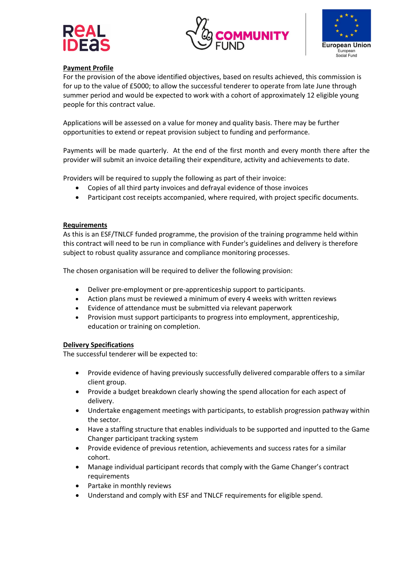





# **Payment Profile**

For the provision of the above identified objectives, based on results achieved, this commission is for up to the value of £5000; to allow the successful tenderer to operate from late June through summer period and would be expected to work with a cohort of approximately 12 eligible young people for this contract value.

Applications will be assessed on a value for money and quality basis. There may be further opportunities to extend or repeat provision subject to funding and performance.

Payments will be made quarterly. At the end of the first month and every month there after the provider will submit an invoice detailing their expenditure, activity and achievements to date.

Providers will be required to supply the following as part of their invoice:

- Copies of all third party invoices and defrayal evidence of those invoices
- Participant cost receipts accompanied, where required, with project specific documents.

#### **Requirements**

As this is an ESF/TNLCF funded programme, the provision of the training programme held within this contract will need to be run in compliance with Funder's guidelines and delivery is therefore subject to robust quality assurance and compliance monitoring processes.

The chosen organisation will be required to deliver the following provision:

- Deliver pre-employment or pre-apprenticeship support to participants.
- Action plans must be reviewed a minimum of every 4 weeks with written reviews
- Evidence of attendance must be submitted via relevant paperwork
- Provision must support participants to progress into employment, apprenticeship, education or training on completion.

#### **Delivery Specifications**

The successful tenderer will be expected to:

- Provide evidence of having previously successfully delivered comparable offers to a similar client group.
- Provide a budget breakdown clearly showing the spend allocation for each aspect of delivery.
- Undertake engagement meetings with participants, to establish progression pathway within the sector.
- Have a staffing structure that enables individuals to be supported and inputted to the Game Changer participant tracking system
- Provide evidence of previous retention, achievements and success rates for a similar cohort.
- Manage individual participant records that comply with the Game Changer's contract requirements
- Partake in monthly reviews
- Understand and comply with ESF and TNLCF requirements for eligible spend.